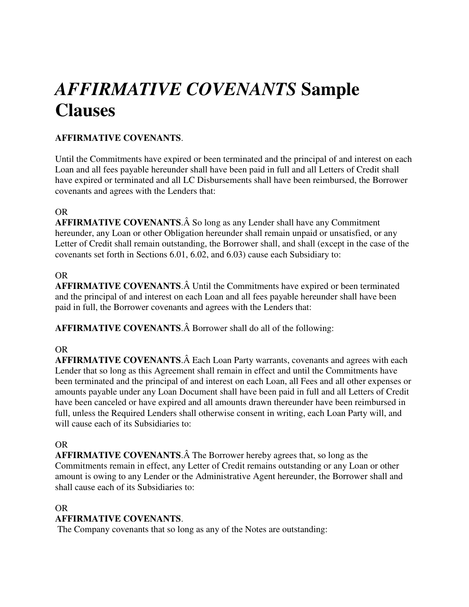# *AFFIRMATIVE COVENANTS* **Sample Clauses**

## **AFFIRMATIVE COVENANTS**.

Until the Commitments have expired or been terminated and the principal of and interest on each Loan and all fees payable hereunder shall have been paid in full and all Letters of Credit shall have expired or terminated and all LC Disbursements shall have been reimbursed, the Borrower covenants and agrees with the Lenders that:

### OR

AFFIRMATIVE COVENANTS. So long as any Lender shall have any Commitment hereunder, any Loan or other Obligation hereunder shall remain unpaid or unsatisfied, or any Letter of Credit shall remain outstanding, the Borrower shall, and shall (except in the case of the covenants set forth in Sections 6.01, 6.02, and 6.03) cause each Subsidiary to:

#### OR

**AFFIRMATIVE COVENANTS.** A Until the Commitments have expired or been terminated and the principal of and interest on each Loan and all fees payable hereunder shall have been paid in full, the Borrower covenants and agrees with the Lenders that:

**AFFIRMATIVE COVENANTS.** A Borrower shall do all of the following:

### OR

**AFFIRMATIVE COVENANTS.** A Each Loan Party warrants, covenants and agrees with each Lender that so long as this Agreement shall remain in effect and until the Commitments have been terminated and the principal of and interest on each Loan, all Fees and all other expenses or amounts payable under any Loan Document shall have been paid in full and all Letters of Credit have been canceled or have expired and all amounts drawn thereunder have been reimbursed in full, unless the Required Lenders shall otherwise consent in writing, each Loan Party will, and will cause each of its Subsidiaries to:

### OR

**AFFIRMATIVE COVENANTS.** A The Borrower hereby agrees that, so long as the Commitments remain in effect, any Letter of Credit remains outstanding or any Loan or other amount is owing to any Lender or the Administrative Agent hereunder, the Borrower shall and shall cause each of its Subsidiaries to:

#### OR

### **AFFIRMATIVE COVENANTS**.

The Company covenants that so long as any of the Notes are outstanding: